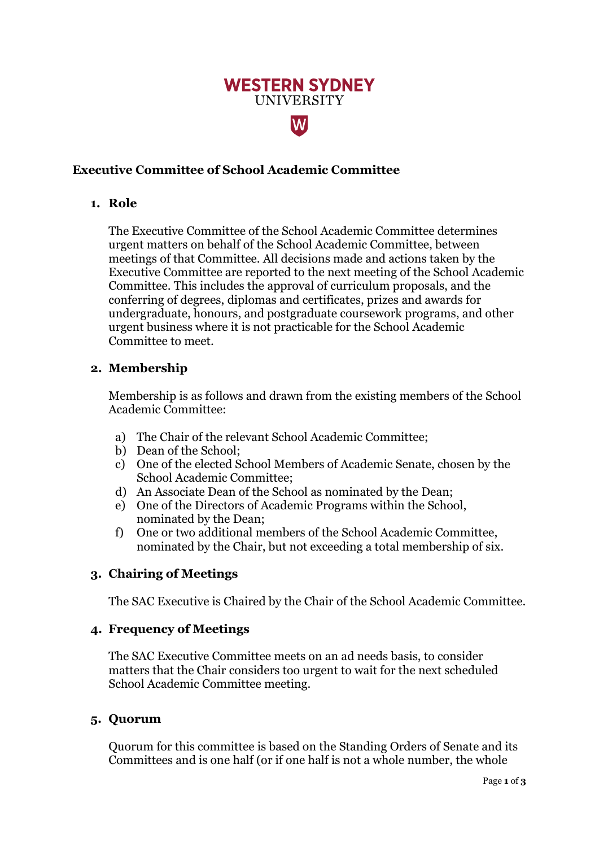# **WESTERN SYDNEY UNIVERSITY**

W

# **Executive Committee of School Academic Committee**

#### **1. Role**

The Executive Committee of the School Academic Committee determines urgent matters on behalf of the School Academic Committee, between meetings of that Committee. All decisions made and actions taken by the Executive Committee are reported to the next meeting of the School Academic Committee. This includes the approval of curriculum proposals, and the conferring of degrees, diplomas and certificates, prizes and awards for undergraduate, honours, and postgraduate coursework programs, and other urgent business where it is not practicable for the School Academic Committee to meet.

#### **2. Membership**

Membership is as follows and drawn from the existing members of the School Academic Committee:

- a) The Chair of the relevant School Academic Committee;
- b) Dean of the School;
- c) One of the elected School Members of Academic Senate, chosen by the School Academic Committee;
- d) An Associate Dean of the School as nominated by the Dean;
- e) One of the Directors of Academic Programs within the School, nominated by the Dean;
- f) One or two additional members of the School Academic Committee, nominated by the Chair, but not exceeding a total membership of six.

## **3. Chairing of Meetings**

The SAC Executive is Chaired by the Chair of the School Academic Committee.

## **4. Frequency of Meetings**

The SAC Executive Committee meets on an ad needs basis, to consider matters that the Chair considers too urgent to wait for the next scheduled School Academic Committee meeting.

#### **5. Quorum**

Quorum for this committee is based on the Standing Orders of Senate and its Committees and is one half (or if one half is not a whole number, the whole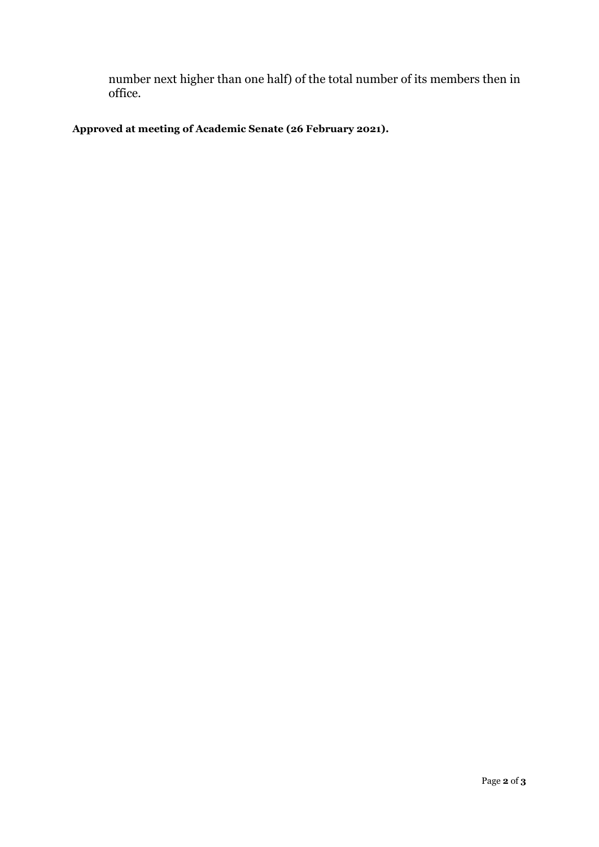number next higher than one half) of the total number of its members then in office.

**Approved at meeting of Academic Senate (26 February 2021).**